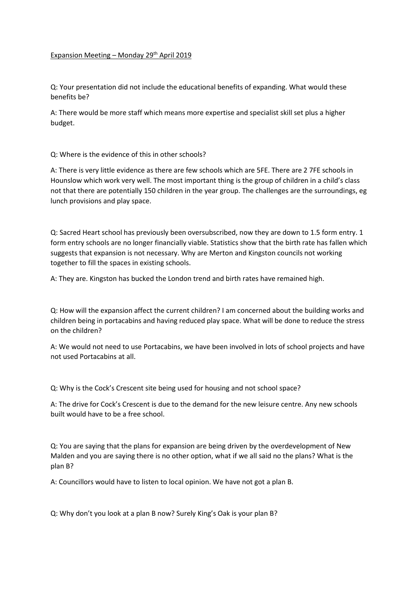## Expansion Meeting – Monday  $29<sup>th</sup>$  April 2019

Q: Your presentation did not include the educational benefits of expanding. What would these benefits be?

A: There would be more staff which means more expertise and specialist skill set plus a higher budget.

## Q: Where is the evidence of this in other schools?

A: There is very little evidence as there are few schools which are 5FE. There are 2 7FE schools in Hounslow which work very well. The most important thing is the group of children in a child's class not that there are potentially 150 children in the year group. The challenges are the surroundings, eg lunch provisions and play space.

Q: Sacred Heart school has previously been oversubscribed, now they are down to 1.5 form entry. 1 form entry schools are no longer financially viable. Statistics show that the birth rate has fallen which suggests that expansion is not necessary. Why are Merton and Kingston councils not working together to fill the spaces in existing schools.

A: They are. Kingston has bucked the London trend and birth rates have remained high.

Q: How will the expansion affect the current children? I am concerned about the building works and children being in portacabins and having reduced play space. What will be done to reduce the stress on the children?

A: We would not need to use Portacabins, we have been involved in lots of school projects and have not used Portacabins at all.

Q: Why is the Cock's Crescent site being used for housing and not school space?

A: The drive for Cock's Crescent is due to the demand for the new leisure centre. Any new schools built would have to be a free school.

Q: You are saying that the plans for expansion are being driven by the overdevelopment of New Malden and you are saying there is no other option, what if we all said no the plans? What is the plan B?

A: Councillors would have to listen to local opinion. We have not got a plan B.

Q: Why don't you look at a plan B now? Surely King's Oak is your plan B?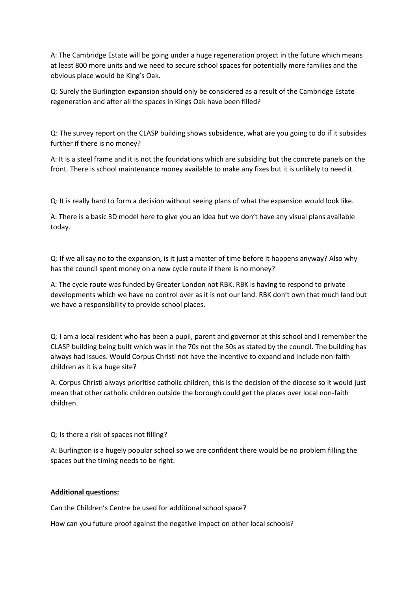A: The Cambridge Estate will be going under a huge regeneration project in the future which means at least 800 more units and we need to secure school spaces for potentially more families and the obvious place would be King's Oak.

Q: Surely the Burlington expansion should only be considered as a result of the Cambridge Estate regeneration and after all the spaces in Kings Oak have been filled?

Q: The survey report on the CLASP building shows subsidence, what are you going to do if it subsides further if there is no money?

A: It is a steel frame and it is not the foundations which are subsiding but the concrete panels on the front. There is school maintenance money available to make any fixes but it is unlikely to need it.

Q: It is really hard to form a decision without seeing plans of what the expansion would look like.

A: There is a basic 3D model here to give you an idea but we don't have any visual plans available today.

Q: If we all say no to the expansion, is it just a matter of time before it happens anyway? Also why has the council spent money on a new cycle route if there is no money?

A: The cycle route was funded by Greater London not RBK. RBK is having to respond to private developments which we have no control over as it is not our land. RBK don't own that much land but we have a responsibility to provide school places.

Q: I am a local resident who has been a pupil, parent and governor at this school and I remember the CLASP building being built which was in the 70s not the 50s as stated by the council. The building has always had issues. Would Corpus Christi not have the incentive to expand and include non-faith children as it is a huge site?

A: Corpus Christi always prioritise catholic children, this is the decision of the diocese so it would just mean that other catholic children outside the borough could get the places over local non-faith children.

Q: Is there a risk of spaces not filling?

A: Burlington is a hugely popular school so we are confident there would be no problem filling the spaces but the timing needs to be right.

## **Additional questions:**

Can the Children's Centre be used for additional school space?

How can you future proof against the negative impact on other local schools?